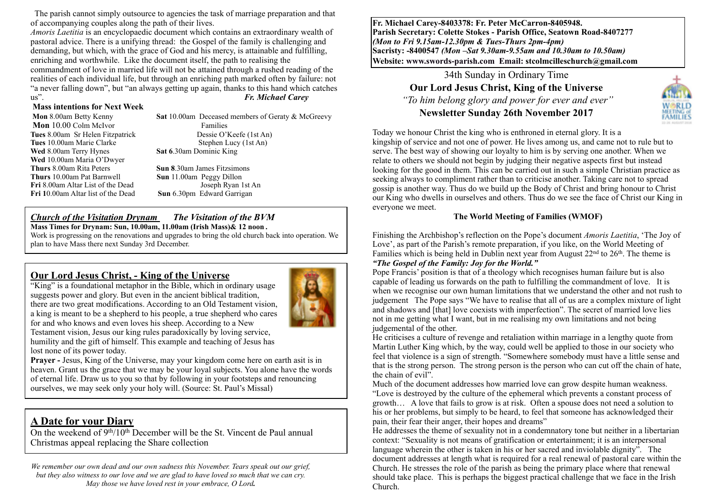The parish cannot simply outsource to agencies the task of marriage preparation and that of accompanying couples along the path of their lives.

*Amoris Laetitia* is an encyclopaedic document which contains an extraordinary wealth of pastoral advice. There is a unifying thread: the Gospel of the family is challenging and demanding, but which, with the grace of God and his mercy, is attainable and fulfilling, enriching and worthwhile. Like the document itself, the path to realising the commandment of love in married life will not be attained through a rushed reading of the realities of each individual life, but through an enriching path marked often by failure: not "a never falling down", but "an always getting up again, thanks to this hand which catches us". *Fr. Michael Carey*

#### **Mass intentions for Next Week**

**Mon** 10.00 Colm McIvor **Families Wed** 8.00am Terry Hynes **Sat 6**.30am Dominic King **Wed** 10.00am Maria O'Dwyer **Thurs** 8.00am Rita Peters **Sun 8**.30am James Fitzsimons **Thurs** 10.00am Pat Barnwell **Sun** 11.00am Peggy Dillon **Fri** 8.00am Altar List of the Dead Joseph Ryan 1st An **Fri 1**0.00am Altar list of the Dead **Sun** 6.30pm Edward Garrigan

 **Mon** 8.00am Betty Kenny **Sat** 10.00am Deceased members of Geraty & McGreevy **Tues** 8.00am Sr Helen Fitzpatrick Dessie O'Keefe (1st An) **Tues** 10.00am Marie Clarke Stephen Lucy (1st An)

#### *Church of the Visitation Drynam**The Visitation of the BVM*

**Mass Times for Drynam: Sun, 10.00am, 11.00am (Irish Mass)& 12 noon** *.*

Work is progressing on the renovations and upgrades to bring the old church back into operation. We plan to have Mass there next Sunday 3rd December.

#### **Our Lord Jesus Christ, - King of the Universe**

"King" is a foundational metaphor in the Bible, which in ordinary usage suggests power and glory. But even in the ancient biblical tradition, there are two great modifications. According to an Old Testament vision, a king is meant to be a shepherd to his people, a true shepherd who cares for and who knows and even loves his sheep. According to a New Testament vision, Jesus our king rules paradoxically by loving service, humility and the gift of himself. This example and teaching of Jesus has lost none of its power today.



**Prayer - Jesus, King of the Universe, may your kingdom come here on earth asit is in** heaven. Grant us the grace that we may be your loyal subjects. You alone have the words of eternal life. Draw us to you so that by following in your footsteps and renouncing ourselves, we may seek only your holy will. (Source: St. Paul's Missal)

# **A Date for your Diary**

On the weekend of  $9<sup>th</sup>/10<sup>th</sup>$  December will be the St. Vincent de Paul annual Christmas appeal replacing the Share collection

*We remember our own dead and our own sadness this November. Tears speak out our grief, but they also witness to our love and we are glad to have loved so much that we can cry. May those we have loved rest in your embrace, O Lord.*

**Fr. Michael Carey-8403378: Fr. Peter McCarron-8405948. Parish Secretary: Colette Stokes - Parish Office, Seatown Road-8407277**  *(Mon to Fri 9.15am-12.30pm & Tues-Thurs 2pm-4pm)*  **Sacristy: -8400547** *(Mon –Sat 9.30am-9.55am and 10.30am to 10.50am)* **Website: [www.swords-parish.com Email:](http://www.swords-parish.com%20%20email) stcolmcilleschurch@gmail.com**

> 34th Sunday in Ordinary Time **Our Lord Jesus Christ, King of the Universe**   *"To him belong glory and power for ever and ever"*  **Newsletter Sunday 26th November 2017**



Today we honour Christ the king who is enthroned in eternal glory. It is a kingship of service and not one of power. He lives among us, and came not to rule but to serve. The best way of showing our loyalty to him is by serving one another. When we relate to others we should not begin by judging their negative aspects first but instead looking for the good in them. This can be carried out in such a simple Christian practice as seeking always to compliment rather than to criticise another. Taking care not to spread gossip is another way. Thus do we build up the Body of Christ and bring honour to Christ our King who dwells in ourselves and others. Thus do we see the face of Christ our King in everyone we meet.

#### **The World Meeting of Families (WMOF)**

Finishing the Archbishop's reflection on the Pope's document *Amoris Laetitia*, 'The Joy of Love', as part of the Parish's remote preparation, if you like, on the World Meeting of Families which is being held in Dublin next year from August  $22<sup>nd</sup>$  to  $26<sup>th</sup>$ . The theme is *"The Gospel of the Family: Joy for the World."*

## Pope Francis' position is that of a theology which recognises human failure but is also capable of leading us forwards on the path to fulfilling the commandment of love. It is

when we recognise our own human limitations that we understand the other and not rush to judgement The Pope says "We have to realise that all of us are a complex mixture of light and shadows and [that] love coexists with imperfection". The secret of married love lies not in me getting what I want, but in me realising my own limitations and not being judgemental of the other.

He criticises a culture of revenge and retaliation within marriage in a lengthy quote from Martin Luther King which, by the way, could well be applied to those in our society who feel that violence is a sign of strength. "Somewhere somebody must have a little sense and that is the strong person. The strong person is the person who can cut off the chain of hate, the chain of evil".

Much of the document addresses how married love can grow despite human weakness. "Love is destroyed by the culture of the ephemeral which prevents a constant process of growth… A love that fails to grow is at risk. Often a spouse does not need a solution to his or her problems, but simply to be heard, to feel that someone has acknowledged their pain, their fear their anger, their hopes and dreams"

He addresses the theme of sexuality not in a condemnatory tone but neither in a libertarian context: "Sexuality is not means of gratification or entertainment; it is an interpersonal language wherein the other is taken in his or her sacred and inviolable dignity". The document addresses at length what is required for a real renewal of pastoral care within the Church. He stresses the role of the parish as being the primary place where that renewal should take place. This is perhaps the biggest practical challenge that we face in the Irish Church.